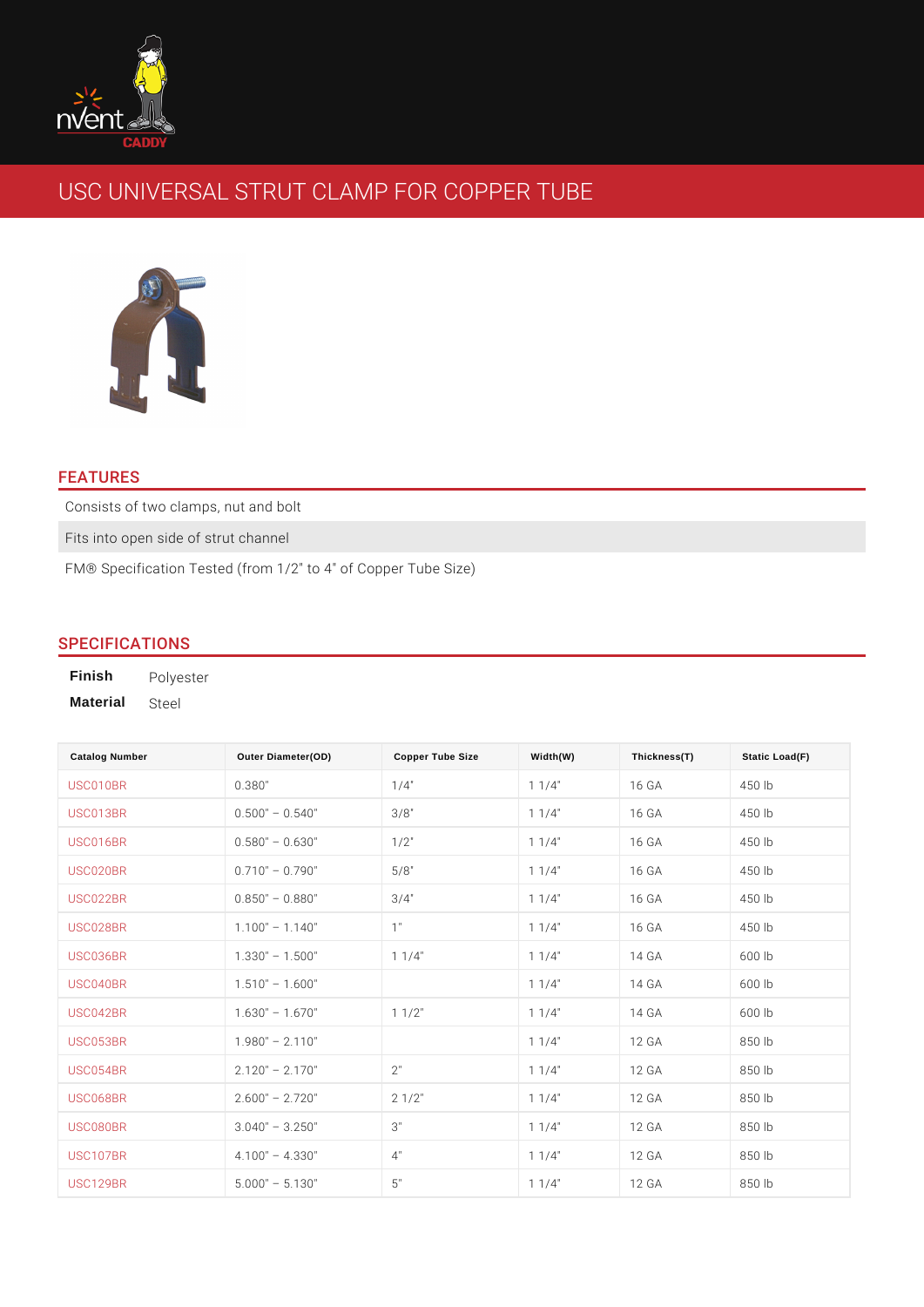# USC UNIVERSAL STRUT CLAMP FOR COPPER TUBE

## FEATURES

Consists of two clamps, nut and bolt Fits into open side of strut channel FM® Specification Tested (from 1/2" to 4" of Copper Tube Size)

# SPECIFICATIONS

Finish Polyester Material Steel

| <b>Catalog Number</b> | Outer Diameter(OD) | <b>Copper Tube Size</b> | Width(W)    | Thickness(T) | Static Load(F) |
|-----------------------|--------------------|-------------------------|-------------|--------------|----------------|
| USC010BR              | 0.380"             | $1/4$ "                 | $1 \t1/4$ " | 16 GA        | 450 lb         |
| USC013BR              | 0.500"<br>0.540"   | 3/8"                    | $1 \t1/4$   | 16 GA        | 450 lb         |
| USC016BR              | 0.630"<br>0.580"   | $1/2$ "                 | $1 \t1/4$   | 16 GA        | 450 lb         |
| USC020BR              | 0.790"<br>0.710"   | 5/8"                    | $1 \t1/4$ " | 16 GA        | 450 lb         |
| USC022BR              | 0.850"<br>0.880"   | $3/4$ "                 | $1 \t1/4$ " | 16 GA        | 450 lb         |
| USC028BR              | 1.100"<br>1.140"   | 1"                      | $1 \t1/4$ " | 16 GA        | 450 lb         |
| USC036BR              | 1.330"<br>1.500"   | $1 \t1/4$               | $1 \t1/4$ " | 14 GA        | 600 lb         |
| USC040BR              | 1.510"<br>1.600"   |                         | $1 \t1/4$ " | 14 GA        | 600 lb         |
| USC042BR              | 1.630"<br>1.670"   | $1 \t1/2$               | $1 \t1/4$ " | 14 GA        | 600 lb         |
| <b>USC053BR</b>       | 2.110"<br>1.980"   |                         | $1 \t1/4$ " | 12 GA        | 850 lb         |
| <b>USC054BR</b>       | 2.120"<br>2.170"   | 2"                      | $1 \t1/4$ " | 12 GA        | 850 lb         |
| USC068BR              | 2.600"<br>2.720"   | $2 \t1/2$               | $1 \t1/4$ " | 12 GA        | 850 lb         |
| USC080BR              | 3.040"<br>3.250"   | 3"                      | $1 \t1/4$ " | 12 GA        | 850 lb         |
| <b>USC107BR</b>       | 4.100"<br>4.330"   | 4"                      | $1 \t1/4$ " | 12 GA        | 850 lb         |
| <b>USC129BR</b>       | 5.130"<br>5.000"   | 5"                      | $1 \t1/4$ " | 12 GA        | 850 lb         |